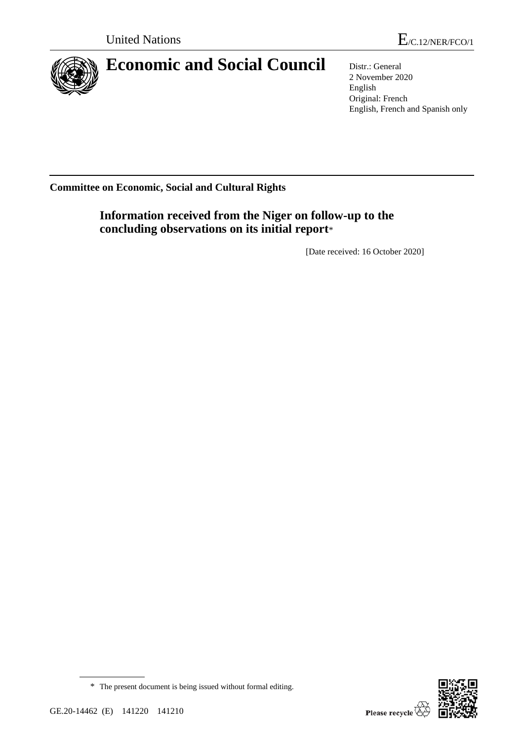

# **Economic and Social Council** Distr.: General

2 November 2020 English Original: French English, French and Spanish only

**Committee on Economic, Social and Cultural Rights**

**Information received from the Niger on follow-up to the concluding observations on its initial report**\*

[Date received: 16 October 2020]

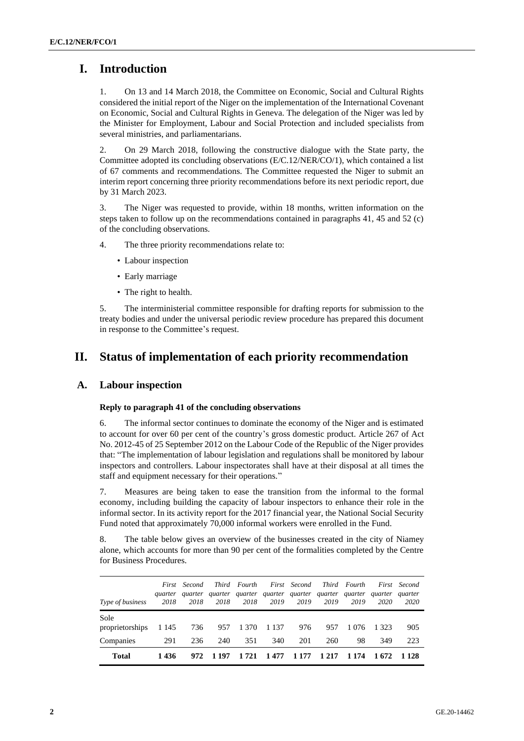# **I. Introduction**

1. On 13 and 14 March 2018, the Committee on Economic, Social and Cultural Rights considered the initial report of the Niger on the implementation of the International Covenant on Economic, Social and Cultural Rights in Geneva. The delegation of the Niger was led by the Minister for Employment, Labour and Social Protection and included specialists from several ministries, and parliamentarians.

2. On 29 March 2018, following the constructive dialogue with the State party, the Committee adopted its concluding observations (E/C.12/NER/CO/1), which contained a list of 67 comments and recommendations. The Committee requested the Niger to submit an interim report concerning three priority recommendations before its next periodic report, due by 31 March 2023.

3. The Niger was requested to provide, within 18 months, written information on the steps taken to follow up on the recommendations contained in paragraphs 41, 45 and 52 (c) of the concluding observations.

- 4. The three priority recommendations relate to:
	- Labour inspection
	- Early marriage
	- The right to health.

5. The interministerial committee responsible for drafting reports for submission to the treaty bodies and under the universal periodic review procedure has prepared this document in response to the Committee's request.

## **II. Status of implementation of each priority recommendation**

## **A. Labour inspection**

#### **Reply to paragraph 41 of the concluding observations**

6. The informal sector continues to dominate the economy of the Niger and is estimated to account for over 60 per cent of the country's gross domestic product. Article 267 of Act No. 2012-45 of 25 September 2012 on the Labour Code of the Republic of the Niger provides that: "The implementation of labour legislation and regulations shall be monitored by labour inspectors and controllers. Labour inspectorates shall have at their disposal at all times the staff and equipment necessary for their operations."

7. Measures are being taken to ease the transition from the informal to the formal economy, including building the capacity of labour inspectors to enhance their role in the informal sector. In its activity report for the 2017 financial year, the National Social Security Fund noted that approximately 70,000 informal workers were enrolled in the Fund.

8. The table below gives an overview of the businesses created in the city of Niamey alone, which accounts for more than 90 per cent of the formalities completed by the Centre for Business Procedures.

| Type of business        | First<br>quarter<br>2018 | Second<br>quarter<br>2018 | 2018       | Third Fourth<br>2018 | 2019    | 2019    | First Second Third Fourth<br>2019 | 2019    | quarter quarter quarter quarter quarter quarter quarter quarter<br>2020 | First Second<br>2020 |
|-------------------------|--------------------------|---------------------------|------------|----------------------|---------|---------|-----------------------------------|---------|-------------------------------------------------------------------------|----------------------|
| Sole<br>proprietorships | 1 1 4 5                  | 736                       | 957        | 1 370                | 1 1 3 7 | 976     | 957                               | 1 0 7 6 | 1.323                                                                   | 905                  |
| Companies               | 291                      | 236                       | 240        | 351                  | 340     | 201     | 260                               | 98      | 349                                                                     | 223                  |
| Total                   | 1436                     |                           | 972 1 1 97 | 1 721                | 1477    | 1 1 7 7 | 1 2 1 7                           | 1 1 7 4 | 1 672                                                                   | 1 1 2 8              |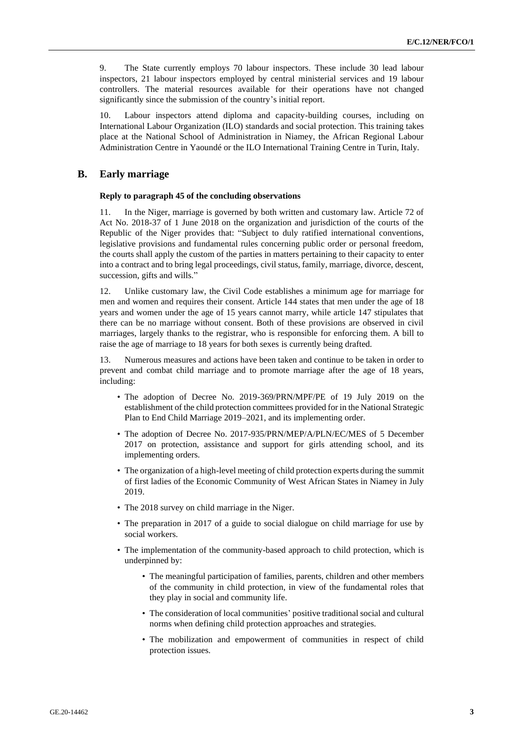9. The State currently employs 70 labour inspectors. These include 30 lead labour inspectors, 21 labour inspectors employed by central ministerial services and 19 labour controllers. The material resources available for their operations have not changed significantly since the submission of the country's initial report.

10. Labour inspectors attend diploma and capacity-building courses, including on International Labour Organization (ILO) standards and social protection. This training takes place at the National School of Administration in Niamey, the African Regional Labour Administration Centre in Yaoundé or the ILO International Training Centre in Turin, Italy.

### **B. Early marriage**

#### **Reply to paragraph 45 of the concluding observations**

11. In the Niger, marriage is governed by both written and customary law. Article 72 of Act No. 2018-37 of 1 June 2018 on the organization and jurisdiction of the courts of the Republic of the Niger provides that: "Subject to duly ratified international conventions, legislative provisions and fundamental rules concerning public order or personal freedom, the courts shall apply the custom of the parties in matters pertaining to their capacity to enter into a contract and to bring legal proceedings, civil status, family, marriage, divorce, descent, succession, gifts and wills."

12. Unlike customary law, the Civil Code establishes a minimum age for marriage for men and women and requires their consent. Article 144 states that men under the age of 18 years and women under the age of 15 years cannot marry, while article 147 stipulates that there can be no marriage without consent. Both of these provisions are observed in civil marriages, largely thanks to the registrar, who is responsible for enforcing them. A bill to raise the age of marriage to 18 years for both sexes is currently being drafted.

13. Numerous measures and actions have been taken and continue to be taken in order to prevent and combat child marriage and to promote marriage after the age of 18 years, including:

- The adoption of Decree No. 2019-369/PRN/MPF/PE of 19 July 2019 on the establishment of the child protection committees provided for in the National Strategic Plan to End Child Marriage 2019–2021, and its implementing order.
- The adoption of Decree No. 2017-935/PRN/MEP/A/PLN/EC/MES of 5 December 2017 on protection, assistance and support for girls attending school, and its implementing orders.
- The organization of a high-level meeting of child protection experts during the summit of first ladies of the Economic Community of West African States in Niamey in July 2019.
- The 2018 survey on child marriage in the Niger.
- The preparation in 2017 of a guide to social dialogue on child marriage for use by social workers.
- The implementation of the community-based approach to child protection, which is underpinned by:
	- The meaningful participation of families, parents, children and other members of the community in child protection, in view of the fundamental roles that they play in social and community life.
	- The consideration of local communities' positive traditional social and cultural norms when defining child protection approaches and strategies.
	- The mobilization and empowerment of communities in respect of child protection issues.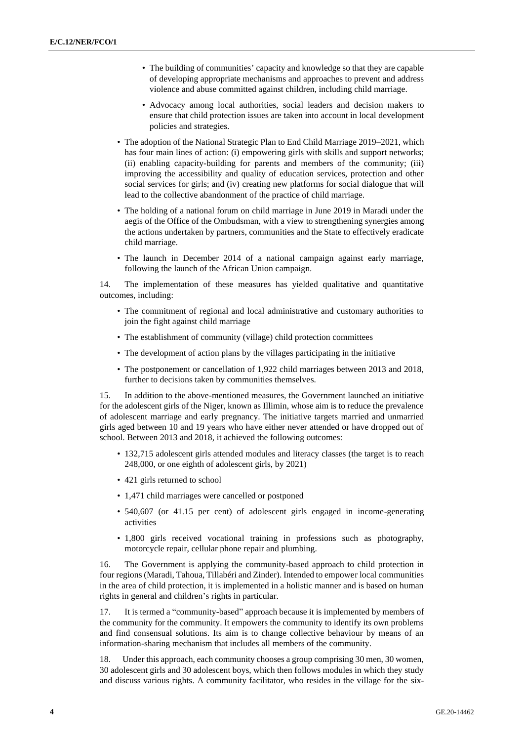- The building of communities' capacity and knowledge so that they are capable of developing appropriate mechanisms and approaches to prevent and address violence and abuse committed against children, including child marriage.
- Advocacy among local authorities, social leaders and decision makers to ensure that child protection issues are taken into account in local development policies and strategies.
- The adoption of the National Strategic Plan to End Child Marriage 2019–2021, which has four main lines of action: (i) empowering girls with skills and support networks; (ii) enabling capacity-building for parents and members of the community; (iii) improving the accessibility and quality of education services, protection and other social services for girls; and (iv) creating new platforms for social dialogue that will lead to the collective abandonment of the practice of child marriage.
- The holding of a national forum on child marriage in June 2019 in Maradi under the aegis of the Office of the Ombudsman, with a view to strengthening synergies among the actions undertaken by partners, communities and the State to effectively eradicate child marriage.
- The launch in December 2014 of a national campaign against early marriage, following the launch of the African Union campaign.

14. The implementation of these measures has yielded qualitative and quantitative outcomes, including:

- The commitment of regional and local administrative and customary authorities to join the fight against child marriage
- The establishment of community (village) child protection committees
- The development of action plans by the villages participating in the initiative
- The postponement or cancellation of 1,922 child marriages between 2013 and 2018, further to decisions taken by communities themselves.

15. In addition to the above-mentioned measures, the Government launched an initiative for the adolescent girls of the Niger, known as Illimin, whose aim is to reduce the prevalence of adolescent marriage and early pregnancy. The initiative targets married and unmarried girls aged between 10 and 19 years who have either never attended or have dropped out of school. Between 2013 and 2018, it achieved the following outcomes:

- 132,715 adolescent girls attended modules and literacy classes (the target is to reach 248,000, or one eighth of adolescent girls, by 2021)
- 421 girls returned to school
- 1,471 child marriages were cancelled or postponed
- 540,607 (or 41.15 per cent) of adolescent girls engaged in income-generating activities
- 1,800 girls received vocational training in professions such as photography, motorcycle repair, cellular phone repair and plumbing.

16. The Government is applying the community-based approach to child protection in four regions (Maradi, Tahoua, Tillabéri and Zinder). Intended to empower local communities in the area of child protection, it is implemented in a holistic manner and is based on human rights in general and children's rights in particular.

17. It is termed a "community-based" approach because it is implemented by members of the community for the community. It empowers the community to identify its own problems and find consensual solutions. Its aim is to change collective behaviour by means of an information-sharing mechanism that includes all members of the community.

18. Under this approach, each community chooses a group comprising 30 men, 30 women, 30 adolescent girls and 30 adolescent boys, which then follows modules in which they study and discuss various rights. A community facilitator, who resides in the village for the six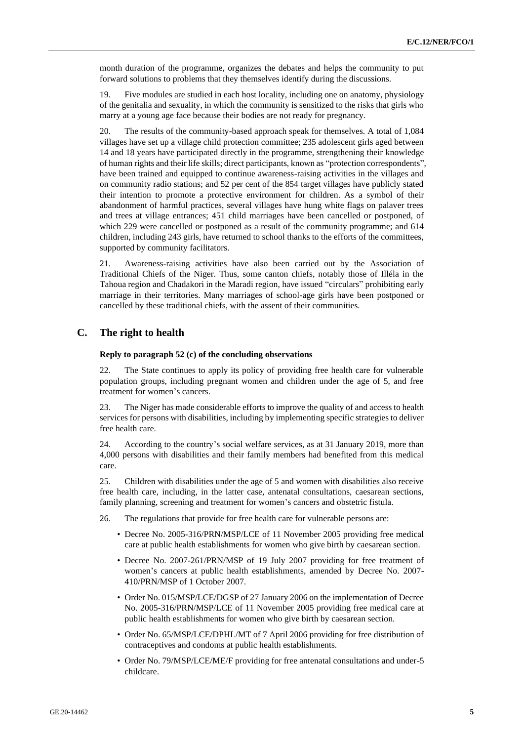month duration of the programme, organizes the debates and helps the community to put forward solutions to problems that they themselves identify during the discussions.

19. Five modules are studied in each host locality, including one on anatomy, physiology of the genitalia and sexuality, in which the community is sensitized to the risks that girls who marry at a young age face because their bodies are not ready for pregnancy.

20. The results of the community-based approach speak for themselves. A total of 1,084 villages have set up a village child protection committee; 235 adolescent girls aged between 14 and 18 years have participated directly in the programme, strengthening their knowledge of human rights and their life skills; direct participants, known as "protection correspondents", have been trained and equipped to continue awareness-raising activities in the villages and on community radio stations; and 52 per cent of the 854 target villages have publicly stated their intention to promote a protective environment for children. As a symbol of their abandonment of harmful practices, several villages have hung white flags on palaver trees and trees at village entrances; 451 child marriages have been cancelled or postponed, of which 229 were cancelled or postponed as a result of the community programme; and 614 children, including 243 girls, have returned to school thanks to the efforts of the committees, supported by community facilitators.

21. Awareness-raising activities have also been carried out by the Association of Traditional Chiefs of the Niger. Thus, some canton chiefs, notably those of Illéla in the Tahoua region and Chadakori in the Maradi region, have issued "circulars" prohibiting early marriage in their territories. Many marriages of school-age girls have been postponed or cancelled by these traditional chiefs, with the assent of their communities.

#### **C. The right to health**

#### **Reply to paragraph 52 (c) of the concluding observations**

22. The State continues to apply its policy of providing free health care for vulnerable population groups, including pregnant women and children under the age of 5, and free treatment for women's cancers.

23. The Niger has made considerable efforts to improve the quality of and access to health services for persons with disabilities, including by implementing specific strategies to deliver free health care.

24. According to the country's social welfare services, as at 31 January 2019, more than 4,000 persons with disabilities and their family members had benefited from this medical care.

25. Children with disabilities under the age of 5 and women with disabilities also receive free health care, including, in the latter case, antenatal consultations, caesarean sections, family planning, screening and treatment for women's cancers and obstetric fistula.

- 26. The regulations that provide for free health care for vulnerable persons are:
	- Decree No. 2005-316/PRN/MSP/LCE of 11 November 2005 providing free medical care at public health establishments for women who give birth by caesarean section.
	- Decree No. 2007-261/PRN/MSP of 19 July 2007 providing for free treatment of women's cancers at public health establishments, amended by Decree No. 2007- 410/PRN/MSP of 1 October 2007.
	- Order No. 015/MSP/LCE/DGSP of 27 January 2006 on the implementation of Decree No. 2005-316/PRN/MSP/LCE of 11 November 2005 providing free medical care at public health establishments for women who give birth by caesarean section.
	- Order No. 65/MSP/LCE/DPHL/MT of 7 April 2006 providing for free distribution of contraceptives and condoms at public health establishments.
	- Order No. 79/MSP/LCE/ME/F providing for free antenatal consultations and under-5 childcare.